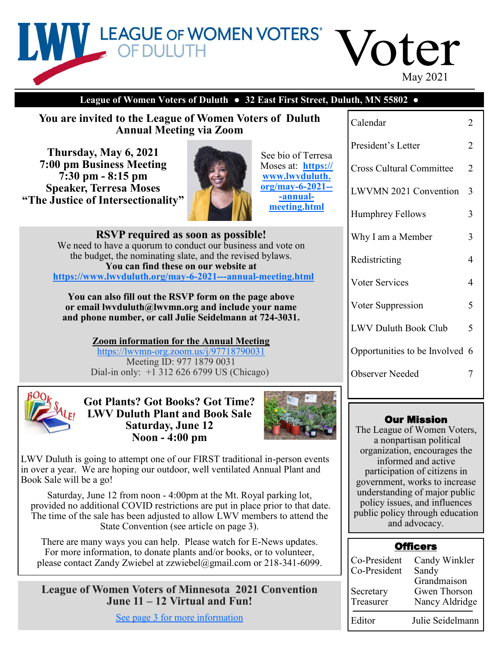

### **League of Women Voters of Duluth** *●* **32 East First Street, Duluth, MN 55802** *●*

**You are invited to the League of Women Voters of Duluth Annual Meeting via Zoom**

**Thursday, May 6, 2021 7:00 pm Business Meeting 7:30 pm - 8:15 pm Speaker, Terresa Moses "The Justice of Intersectionality"**



See bio of Terresa Moses at: **[https://](https://www.lwvduluth.org/may-6-2021---annual-meeting.html) [www.lwvduluth.](https://www.lwvduluth.org/may-6-2021---annual-meeting.html) [org/may](https://www.lwvduluth.org/may-6-2021---annual-meeting.html)-6-2021-- -[annual](https://www.lwvduluth.org/may-6-2021---annual-meeting.html)[meeting.html](https://www.lwvduluth.org/may-6-2021---annual-meeting.html)**

**RSVP required as soon as possible!** We need to have a quorum to conduct our business and vote on the budget, the nominating slate, and the revised bylaws. **You can find these on our website at [https://www.lwvduluth.org/may](https://www.lwvduluth.org/may-6-2021---annual-meeting.html)-6-2021---annual-meeting.html**

**You can also fill out the RSVP form on the page above or email lwvduluth@lwvmn.org and include your name and phone number, or call Julie Seidelmann at 724-3031.**

> **Zoom information for the Annual Meeting**  https://lwvmn-[org.zoom.us/j/97718790031](https://lwvmn-org.zoom.us/j/97718790031) Meeting ID: 977 1879 0031 Dial-in only: +1 312 626 6799 US (Chicago)



**Got Plants? Got Books? Got Time? LWV Duluth Plant and Book Sale Saturday, June 12 Noon - 4:00 pm**



LWV Duluth is going to attempt one of our FIRST traditional in-person events in over a year. We are hoping our outdoor, well ventilated Annual Plant and Book Sale will be a go!

Saturday, June 12 from noon - 4:00pm at the Mt. Royal parking lot, provided no additional COVID restrictions are put in place prior to that date. The time of the sale has been adjusted to allow LWV members to attend the State Convention (see article on page 3).

There are many ways you can help. Please watch for E-News updates. For more information, to donate plants and/or books, or to volunteer, please contact Zandy Zwiebel at zzwiebel@gmail.com or 218-341-6099.

**League of Women Voters of Minnesota 2021 Convention June 11 – 12 Virtual and Fun!**

[See page 3 for more information](#page-2-0)

| Calendar                        | 2 |
|---------------------------------|---|
| President's Letter              | 2 |
| <b>Cross Cultural Committee</b> | 2 |
| <b>LWVMN 2021 Convention</b>    | 3 |
| <b>Humphrey Fellows</b>         | 3 |
| Why I am a Member               | 3 |
| Redistricting                   | 4 |
| <b>Voter Services</b>           | 4 |
| Voter Suppression               | 5 |
| <b>LWV Duluth Book Club</b>     | 5 |
| Opportunities to be Involved 6  |   |
| <b>Observer Needed</b>          |   |
|                                 |   |

#### Our Mission

The League of Women Voters, a nonpartisan political organization, encourages the informed and active participation of citizens in government, works to increase understanding of major public policy issues, and influences public policy through education and advocacy.

## **Officers**

| Co-President<br>Co-President | Candy Winkler<br>Sandy                        |
|------------------------------|-----------------------------------------------|
| Secretary<br>Treasurer       | Grandmaison<br>Gwen Thorson<br>Nancy Aldridge |
| Editor                       | Julie Seidelmann                              |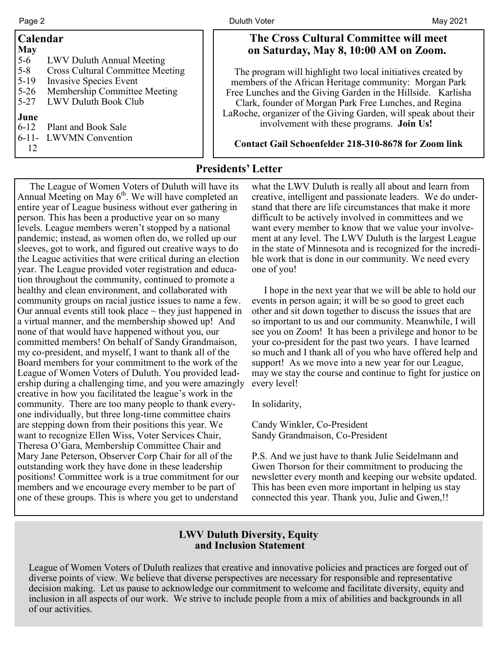| Calendar                                                                                                                              |                                                                                                                                                        | <b>The Cross Cultural</b>                                                                                                                                                                                                                |
|---------------------------------------------------------------------------------------------------------------------------------------|--------------------------------------------------------------------------------------------------------------------------------------------------------|------------------------------------------------------------------------------------------------------------------------------------------------------------------------------------------------------------------------------------------|
| <b>May</b><br>$5 - 6$<br>$5 - 8$<br>$5-19$<br>$5-26$<br>$5 - 27$<br>June<br>Plant and Book Sale<br>$6 - 12$<br>6-11- LWVMN Convention | LWV Duluth Annual Meeting<br><b>Cross Cultural Committee Meeting</b><br>Invasive Species Event<br>Membership Committee Meeting<br>LWV Duluth Book Club | on Saturday, May 8<br>The program will highlight<br>members of the African Her<br>Free Lunches and the Giving<br>Clark, founder of Morgan I<br>LaRoche, organizer of the Giv<br>involvement with the<br><b>Contact Gail Schoenfelder</b> |
|                                                                                                                                       |                                                                                                                                                        |                                                                                                                                                                                                                                          |

### **The Committee will meet on Saturday, May 8, 10:00 AM on Zoom.**

two local initiatives created by itage community: Morgan Park Garden in the Hillside. Karlisha Park Free Lunches, and Regina ing Garden, will speak about their ese programs. **Join Us!** 

**Contact Gail Schoenfelder 218-310-8678 for Zoom link**

## **Presidents' Letter**

 The League of Women Voters of Duluth will have its Annual Meeting on May  $6<sup>th</sup>$ . We will have completed an entire year of League business without ever gathering in person. This has been a productive year on so many levels. League members weren't stopped by a national pandemic; instead, as women often do, we rolled up our sleeves, got to work, and figured out creative ways to do the League activities that were critical during an election year. The League provided voter registration and education throughout the community, continued to promote a healthy and clean environment, and collaborated with community groups on racial justice issues to name a few. Our annual events still took place  $\sim$  they just happened in a virtual manner, and the membership showed up! And none of that would have happened without you, our committed members! On behalf of Sandy Grandmaison, my co-president, and myself, I want to thank all of the Board members for your commitment to the work of the League of Women Voters of Duluth. You provided leadership during a challenging time, and you were amazingly creative in how you facilitated the league's work in the community. There are too many people to thank everyone individually, but three long-time committee chairs are stepping down from their positions this year. We want to recognize Ellen Wiss, Voter Services Chair, Theresa O'Gara, Membership Committee Chair and Mary Jane Peterson, Observer Corp Chair for all of the outstanding work they have done in these leadership positions! Committee work is a true commitment for our members and we encourage every member to be part of one of these groups. This is where you get to understand

what the LWV Duluth is really all about and learn from creative, intelligent and passionate leaders. We do understand that there are life circumstances that make it more difficult to be actively involved in committees and we want every member to know that we value your involvement at any level. The LWV Duluth is the largest League in the state of Minnesota and is recognized for the incredible work that is done in our community. We need every one of you!

 I hope in the next year that we will be able to hold our events in person again; it will be so good to greet each other and sit down together to discuss the issues that are so important to us and our community. Meanwhile, I will see you on Zoom! It has been a privilege and honor to be your co-president for the past two years. I have learned so much and I thank all of you who have offered help and support! As we move into a new year for our League, may we stay the course and continue to fight for justice on every level!

In solidarity,

Candy Winkler, Co-President Sandy Grandmaison, Co-President

P.S. And we just have to thank Julie Seidelmann and Gwen Thorson for their commitment to producing the newsletter every month and keeping our website updated. This has been even more important in helping us stay connected this year. Thank you, Julie and Gwen,!!

## **LWV Duluth Diversity, Equity and Inclusion Statement**

League of Women Voters of Duluth realizes that creative and innovative policies and practices are forged out of diverse points of view. We believe that diverse perspectives are necessary for responsible and representative decision making. Let us pause to acknowledge our commitment to welcome and facilitate diversity, equity and inclusion in all aspects of our work. We strive to include people from a mix of abilities and backgrounds in all of our activities.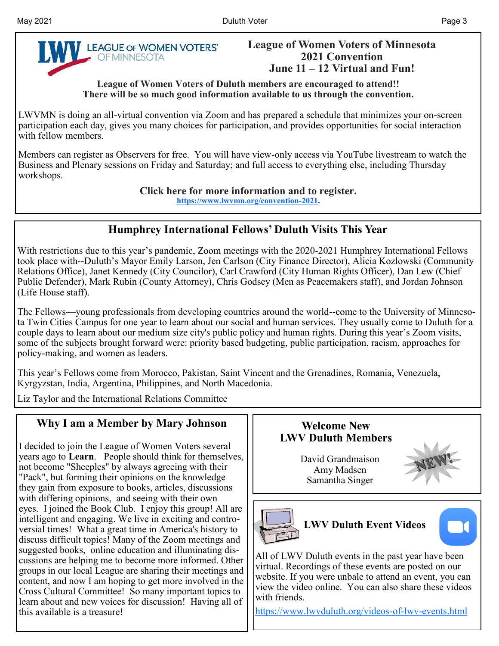<span id="page-2-0"></span>

### **League of Women Voters of Minnesota 2021 Convention June 11 – 12 Virtual and Fun!**

**League of Women Voters of Duluth members are encouraged to attend!! There will be so much good information available to us through the convention.**

LWVMN is doing an all-virtual convention via Zoom and has prepared a schedule that minimizes your on-screen participation each day, gives you many choices for participation, and provides opportunities for social interaction with fellow members.

Members can register as Observers for free. You will have view-only access via YouTube livestream to watch the Business and Plenary sessions on Friday and Saturday; and full access to everything else, including Thursday workshops.

**Click here for more information and to register.**

**[https://www.lwvmn.org/convention](https://www.lwvmn.org/convention-2021)-2021.**

## **Humphrey International Fellows' Duluth Visits This Year**

With restrictions due to this year's pandemic, Zoom meetings with the 2020-2021 Humphrey International Fellows took place with--Duluth's Mayor Emily Larson, Jen Carlson (City Finance Director), Alicia Kozlowski (Community Relations Office), Janet Kennedy (City Councilor), Carl Crawford (City Human Rights Officer), Dan Lew (Chief Public Defender), Mark Rubin (County Attorney), Chris Godsey (Men as Peacemakers staff), and Jordan Johnson (Life House staff).

The Fellows—young professionals from developing countries around the world--come to the University of Minnesota Twin Cities Campus for one year to learn about our social and human services. They usually come to Duluth for a couple days to learn about our medium size city's public policy and human rights. During this year's Zoom visits, some of the subjects brought forward were: priority based budgeting, public participation, racism, approaches for policy-making, and women as leaders.

This year's Fellows come from Morocco, Pakistan, Saint Vincent and the Grenadines, Romania, Venezuela, Kyrgyzstan, India, Argentina, Philippines, and North Macedonia.

Liz Taylor and the International Relations Committee

# **Why I am a Member by Mary Johnson**

I decided to join the League of Women Voters several years ago to **Learn**. People should think for themselves, not become "Sheeples" by always agreeing with their "Pack", but forming their opinions on the knowledge they gain from exposure to books, articles, discussions with differing opinions, and seeing with their own eyes. I joined the Book Club. I enjoy this group! All are intelligent and engaging. We live in exciting and controversial times! What a great time in America's history to discuss difficult topics! Many of the Zoom meetings and suggested books, online education and illuminating discussions are helping me to become more informed. Other groups in our local League are sharing their meetings and content, and now I am hoping to get more involved in the Cross Cultural Committee! So many important topics to learn about and new voices for discussion! Having all of this available is a treasure!



virtual. Recordings of these events are posted on our website. If you were unbale to attend an event, you can view the video online. You can also share these videos with friends.

[https://www.lwvduluth.org/videos](https://www.lwvduluth.org/videos-of-lwv-events.html)-of-lwv-events.html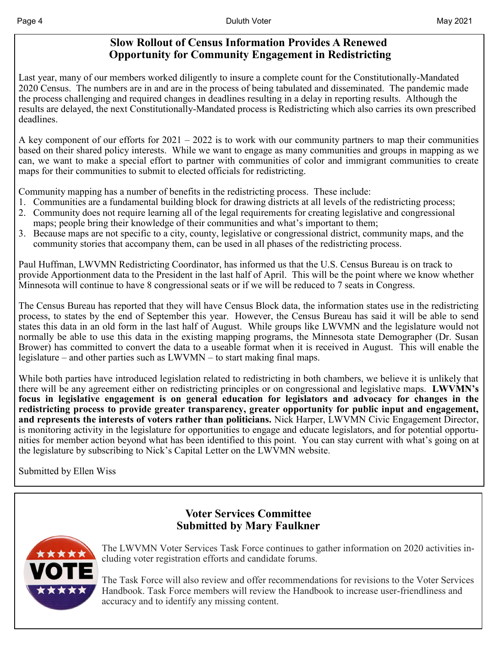## **Slow Rollout of Census Information Provides A Renewed Opportunity for Community Engagement in Redistricting**

Last year, many of our members worked diligently to insure a complete count for the Constitutionally-Mandated 2020 Census. The numbers are in and are in the process of being tabulated and disseminated. The pandemic made the process challenging and required changes in deadlines resulting in a delay in reporting results. Although the results are delayed, the next Constitutionally-Mandated process is Redistricting which also carries its own prescribed deadlines.

A key component of our efforts for 2021 – 2022 is to work with our community partners to map their communities based on their shared policy interests. While we want to engage as many communities and groups in mapping as we can, we want to make a special effort to partner with communities of color and immigrant communities to create maps for their communities to submit to elected officials for redistricting.

Community mapping has a number of benefits in the redistricting process. These include:

- 1. Communities are a fundamental building block for drawing districts at all levels of the redistricting process;
- 2. Community does not require learning all of the legal requirements for creating legislative and congressional maps; people bring their knowledge of their communities and what's important to them;
- 3. Because maps are not specific to a city, county, legislative or congressional district, community maps, and the community stories that accompany them, can be used in all phases of the redistricting process.

Paul Huffman, LWVMN Redistricting Coordinator, has informed us that the U.S. Census Bureau is on track to provide Apportionment data to the President in the last half of April. This will be the point where we know whether Minnesota will continue to have 8 congressional seats or if we will be reduced to 7 seats in Congress.

The Census Bureau has reported that they will have Census Block data, the information states use in the redistricting process, to states by the end of September this year. However, the Census Bureau has said it will be able to send states this data in an old form in the last half of August. While groups like LWVMN and the legislature would not normally be able to use this data in the existing mapping programs, the Minnesota state Demographer (Dr. Susan Brower) has committed to convert the data to a useable format when it is received in August. This will enable the legislature – and other parties such as LWVMN – to start making final maps.

While both parties have introduced legislation related to redistricting in both chambers, we believe it is unlikely that there will be any agreement either on redistricting principles or on congressional and legislative maps. **LWVMN's focus in legislative engagement is on general education for legislators and advocacy for changes in the redistricting process to provide greater transparency, greater opportunity for public input and engagement, and represents the interests of voters rather than politicians.** Nick Harper, LWVMN Civic Engagement Director, is monitoring activity in the legislature for opportunities to engage and educate legislators, and for potential opportunities for member action beyond what has been identified to this point. You can stay current with what's going on at the legislature by subscribing to Nick's Capital Letter on the LWVMN website.

Submitted by Ellen Wiss



**Voter Services Committee Submitted by Mary Faulkner**

The LWVMN Voter Services Task Force continues to gather information on 2020 activities including voter registration efforts and candidate forums.

The Task Force will also review and offer recommendations for revisions to the Voter Services Handbook. Task Force members will review the Handbook to increase user-friendliness and accuracy and to identify any missing content.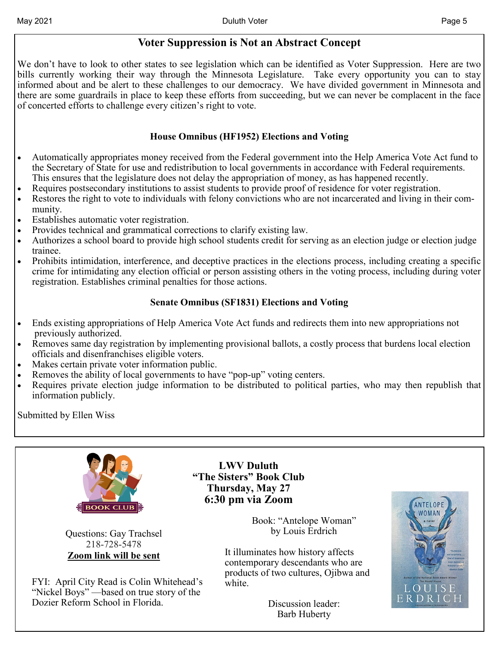## **Voter Suppression is Not an Abstract Concept**

We don't have to look to other states to see legislation which can be identified as Voter Suppression. Here are two bills currently working their way through the Minnesota Legislature. Take every opportunity you can to stay informed about and be alert to these challenges to our democracy. We have divided government in Minnesota and there are some guardrails in place to keep these efforts from succeeding, but we can never be complacent in the face of concerted efforts to challenge every citizen's right to vote.

## **House Omnibus (HF1952) Elections and Voting**

- Automatically appropriates money received from the Federal government into the Help America Vote Act fund to the Secretary of State for use and redistribution to local governments in accordance with Federal requirements. This ensures that the legislature does not delay the appropriation of money, as has happened recently.
- Requires postsecondary institutions to assist students to provide proof of residence for voter registration.
- Restores the right to vote to individuals with felony convictions who are not incarcerated and living in their community.
- Establishes automatic voter registration.
- Provides technical and grammatical corrections to clarify existing law.
- Authorizes a school board to provide high school students credit for serving as an election judge or election judge trainee.
- Prohibits intimidation, interference, and deceptive practices in the elections process, including creating a specific crime for intimidating any election official or person assisting others in the voting process, including during voter registration. Establishes criminal penalties for those actions.

## **Senate Omnibus (SF1831) Elections and Voting**

- Ends existing appropriations of Help America Vote Act funds and redirects them into new appropriations not previously authorized.
- Removes same day registration by implementing provisional ballots, a costly process that burdens local election officials and disenfranchises eligible voters.
- Makes certain private voter information public.
- Removes the ability of local governments to have "pop-up" voting centers.
- Requires private election judge information to be distributed to political parties, who may then republish that information publicly.

Submitted by Ellen Wiss



Questions: Gay Trachsel 218-728-5478 **Zoom link will be sent** 

FYI: April City Read is Colin Whitehead's "Nickel Boys" —based on true story of the Dozier Reform School in Florida.

**LWV Duluth "The Sisters" Book Club Thursday, May 27 6:30 pm via Zoom**

> Book: "Antelope Woman" by Louis Erdrich

It illuminates how history affects contemporary descendants who are products of two cultures, Ojibwa and white.

> Discussion leader: Barb Huberty

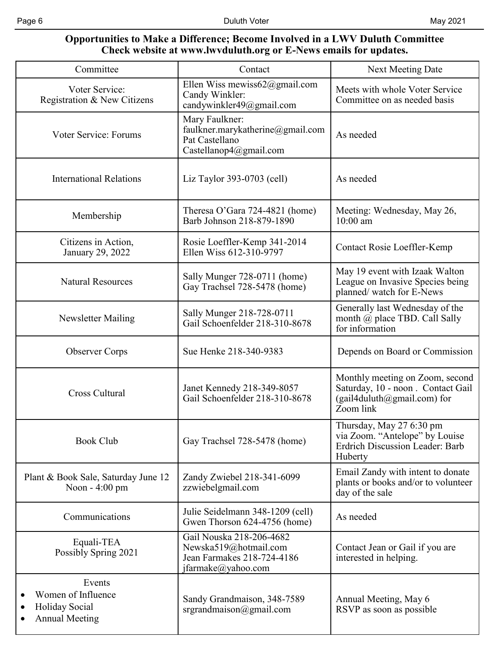#### **Opportunities to Make a Difference; Become Involved in a LWV Duluth Committee Check website at www.lwvduluth.org or E-News emails for updates.**

| Committee                                                                                                      | Contact                                                                                               | Next Meeting Date                                                                                                |  |
|----------------------------------------------------------------------------------------------------------------|-------------------------------------------------------------------------------------------------------|------------------------------------------------------------------------------------------------------------------|--|
| Voter Service:<br>Registration & New Citizens                                                                  | Ellen Wiss mewiss62@gmail.com<br>Candy Winkler:<br>candywinkler49@gmail.com                           | Meets with whole Voter Service<br>Committee on as needed basis                                                   |  |
| Voter Service: Forums                                                                                          | Mary Faulkner:<br>faulkner.marykatherine@gmail.com<br>Pat Castellano<br>Castellanop4@gmail.com        | As needed                                                                                                        |  |
| <b>International Relations</b>                                                                                 | Liz Taylor 393-0703 (cell)                                                                            | As needed                                                                                                        |  |
| Membership                                                                                                     | Theresa O'Gara 724-4821 (home)<br>Barb Johnson 218-879-1890                                           | Meeting: Wednesday, May 26,<br>$10:00$ am                                                                        |  |
| Citizens in Action,<br>January 29, 2022                                                                        | Rosie Loeffler-Kemp 341-2014<br>Ellen Wiss 612-310-9797                                               | Contact Rosie Loeffler-Kemp                                                                                      |  |
| <b>Natural Resources</b>                                                                                       | Sally Munger 728-0711 (home)<br>Gay Trachsel 728-5478 (home)                                          | May 19 event with Izaak Walton<br>League on Invasive Species being<br>planned/watch for E-News                   |  |
| Newsletter Mailing                                                                                             | Sally Munger 218-728-0711<br>Gail Schoenfelder 218-310-8678                                           | Generally last Wednesday of the<br>month @ place TBD. Call Sally<br>for information                              |  |
| <b>Observer Corps</b>                                                                                          | Sue Henke 218-340-9383                                                                                | Depends on Board or Commission                                                                                   |  |
| <b>Cross Cultural</b>                                                                                          | Janet Kennedy 218-349-8057<br>Gail Schoenfelder 218-310-8678                                          | Monthly meeting on Zoom, second<br>Saturday, 10 - noon. Contact Gail<br>(gail4duluth@gmail.com) for<br>Zoom link |  |
| <b>Book Club</b>                                                                                               | Gay Trachsel 728-5478 (home)                                                                          | Thursday, May 27 6:30 pm<br>via Zoom. "Antelope" by Louise<br><b>Erdrich Discussion Leader: Barb</b><br>Huberty  |  |
| Plant & Book Sale, Saturday June 12<br>Noon - 4:00 pm                                                          | Zandy Zwiebel 218-341-6099<br>zzwiebelgmail.com                                                       | Email Zandy with intent to donate<br>plants or books and/or to volunteer<br>day of the sale                      |  |
| Communications                                                                                                 | Julie Seidelmann 348-1209 (cell)<br>Gwen Thorson 624-4756 (home)                                      | As needed                                                                                                        |  |
| Equali-TEA<br>Possibly Spring 2021                                                                             | Gail Nouska 218-206-4682<br>Newska519@hotmail.com<br>Jean Farmakes 218-724-4186<br>jfarmake@yahoo.com | Contact Jean or Gail if you are<br>interested in helping.                                                        |  |
| Events<br>Women of Influence<br>$\bullet$<br>Holiday Social<br>$\bullet$<br><b>Annual Meeting</b><br>$\bullet$ | Sandy Grandmaison, 348-7589<br>$s$ rgrandmaison@gmail.com                                             | Annual Meeting, May 6<br>RSVP as soon as possible                                                                |  |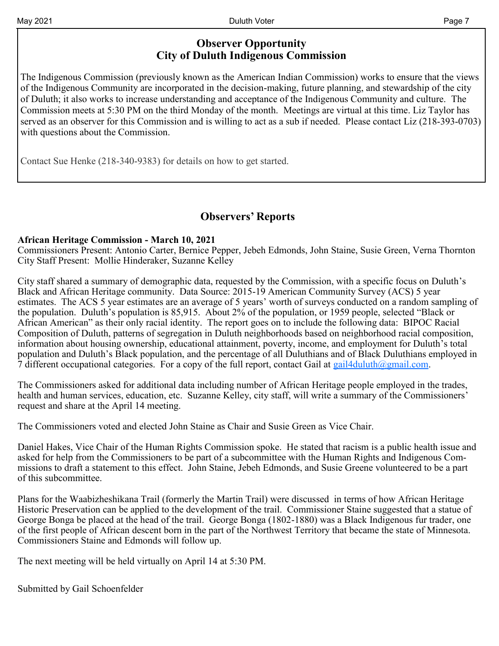## **Observer Opportunity City of Duluth Indigenous Commission**

The Indigenous Commission (previously known as the American Indian Commission) works to ensure that the views of the Indigenous Community are incorporated in the decision-making, future planning, and stewardship of the city of Duluth; it also works to increase understanding and acceptance of the Indigenous Community and culture. The Commission meets at 5:30 PM on the third Monday of the month. Meetings are virtual at this time. Liz Taylor has served as an observer for this Commission and is willing to act as a sub if needed. Please contact Liz (218-393-0703) with questions about the Commission.

Contact Sue Henke (218-340-9383) for details on how to get started.

## **Observers' Reports**

#### **African Heritage Commission - March 10, 2021**

Commissioners Present: Antonio Carter, Bernice Pepper, Jebeh Edmonds, John Staine, Susie Green, Verna Thornton City Staff Present: Mollie Hinderaker, Suzanne Kelley

City staff shared a summary of demographic data, requested by the Commission, with a specific focus on Duluth's Black and African Heritage community. Data Source: 2015-19 American Community Survey (ACS) 5 year estimates. The ACS 5 year estimates are an average of 5 years' worth of surveys conducted on a random sampling of the population. Duluth's population is 85,915. About 2% of the population, or 1959 people, selected "Black or African American" as their only racial identity. The report goes on to include the following data: BIPOC Racial Composition of Duluth, patterns of segregation in Duluth neighborhoods based on neighborhood racial composition, information about housing ownership, educational attainment, poverty, income, and employment for Duluth's total population and Duluth's Black population, and the percentage of all Duluthians and of Black Duluthians employed in 7 different occupational categories. For a copy of the full report, contact Gail at  $gail4duluth@gmail.com$ .

The Commissioners asked for additional data including number of African Heritage people employed in the trades, health and human services, education, etc. Suzanne Kelley, city staff, will write a summary of the Commissioners' request and share at the April 14 meeting.

The Commissioners voted and elected John Staine as Chair and Susie Green as Vice Chair.

Daniel Hakes, Vice Chair of the Human Rights Commission spoke. He stated that racism is a public health issue and asked for help from the Commissioners to be part of a subcommittee with the Human Rights and Indigenous Commissions to draft a statement to this effect. John Staine, Jebeh Edmonds, and Susie Greene volunteered to be a part of this subcommittee.

Plans for the Waabizheshikana Trail (formerly the Martin Trail) were discussed in terms of how African Heritage Historic Preservation can be applied to the development of the trail. Commissioner Staine suggested that a statue of George Bonga be placed at the head of the trail. George Bonga (1802-1880) was a Black Indigenous fur trader, one of the first people of African descent born in the part of the Northwest Territory that became the state of Minnesota. Commissioners Staine and Edmonds will follow up.

The next meeting will be held virtually on April 14 at 5:30 PM.

Submitted by Gail Schoenfelder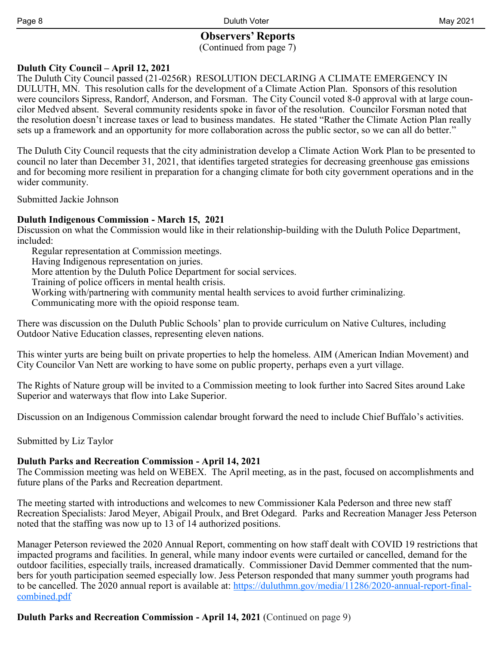#### **Observers' Reports** (Continued from page 7)

**Duluth City Council – April 12, 2021** 

The Duluth City Council passed (21-0256R) RESOLUTION DECLARING A CLIMATE EMERGENCY IN DULUTH, MN. This resolution calls for the development of a Climate Action Plan. Sponsors of this resolution were councilors Sipress, Randorf, Anderson, and Forsman. The City Council voted 8-0 approval with at large councilor Medved absent. Several community residents spoke in favor of the resolution. Councilor Forsman noted that the resolution doesn't increase taxes or lead to business mandates. He stated "Rather the Climate Action Plan really sets up a framework and an opportunity for more collaboration across the public sector, so we can all do better."

The Duluth City Council requests that the city administration develop a Climate Action Work Plan to be presented to council no later than December 31, 2021, that identifies targeted strategies for decreasing greenhouse gas emissions and for becoming more resilient in preparation for a changing climate for both city government operations and in the wider community.

Submitted Jackie Johnson

#### **Duluth Indigenous Commission - March 15, 2021**

Discussion on what the Commission would like in their relationship-building with the Duluth Police Department, included:

Regular representation at Commission meetings.

Having Indigenous representation on juries.

More attention by the Duluth Police Department for social services.

Training of police officers in mental health crisis.

Working with/partnering with community mental health services to avoid further criminalizing.

Communicating more with the opioid response team.

There was discussion on the Duluth Public Schools' plan to provide curriculum on Native Cultures, including Outdoor Native Education classes, representing eleven nations.

This winter yurts are being built on private properties to help the homeless. AIM (American Indian Movement) and City Councilor Van Nett are working to have some on public property, perhaps even a yurt village.

The Rights of Nature group will be invited to a Commission meeting to look further into Sacred Sites around Lake Superior and waterways that flow into Lake Superior.

Discussion on an Indigenous Commission calendar brought forward the need to include Chief Buffalo's activities.

Submitted by Liz Taylor

## **Duluth Parks and Recreation Commission - April 14, 2021**

The Commission meeting was held on WEBEX. The April meeting, as in the past, focused on accomplishments and future plans of the Parks and Recreation department.

The meeting started with introductions and welcomes to new Commissioner Kala Pederson and three new staff Recreation Specialists: Jarod Meyer, Abigail Proulx, and Bret Odegard. Parks and Recreation Manager Jess Peterson noted that the staffing was now up to 13 of 14 authorized positions.

Manager Peterson reviewed the 2020 Annual Report, commenting on how staff dealt with COVID 19 restrictions that impacted programs and facilities. In general, while many indoor events were curtailed or cancelled, demand for the outdoor facilities, especially trails, increased dramatically. Commissioner David Demmer commented that the numbers for youth participation seemed especially low. Jess Peterson responded that many summer youth programs had to be cancelled. The 2020 annual report is available at: [https://duluthmn.gov/media/11286/2020](https://duluthmn.gov/media/11286/2020-annual-report-final-combined.pdf)-annual-report-final[combined.pdf](https://duluthmn.gov/media/11286/2020-annual-report-final-combined.pdf)

**Duluth Parks and Recreation Commission - April 14, 2021** (Continued on page 9)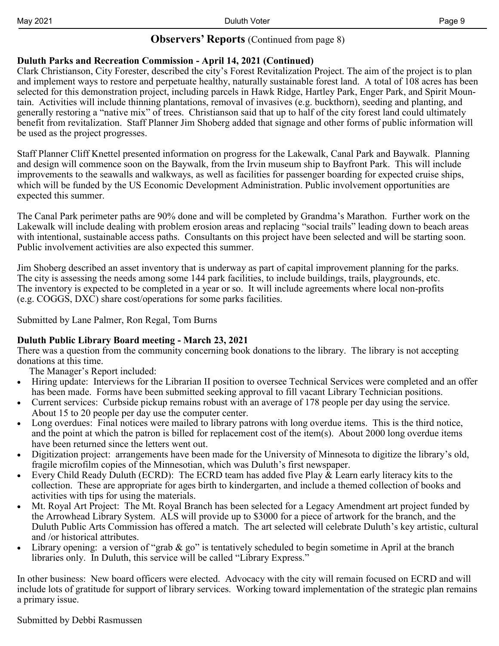## **Observers' Reports** (Continued from page 8)

### **Duluth Parks and Recreation Commission - April 14, 2021 (Continued)**

Clark Christianson, City Forester, described the city's Forest Revitalization Project. The aim of the project is to plan and implement ways to restore and perpetuate healthy, naturally sustainable forest land. A total of 108 acres has been selected for this demonstration project, including parcels in Hawk Ridge, Hartley Park, Enger Park, and Spirit Mountain. Activities will include thinning plantations, removal of invasives (e.g. buckthorn), seeding and planting, and generally restoring a "native mix" of trees. Christianson said that up to half of the city forest land could ultimately benefit from revitalization. Staff Planner Jim Shoberg added that signage and other forms of public information will be used as the project progresses.

Staff Planner Cliff Knettel presented information on progress for the Lakewalk, Canal Park and Baywalk. Planning and design will commence soon on the Baywalk, from the Irvin museum ship to Bayfront Park. This will include improvements to the seawalls and walkways, as well as facilities for passenger boarding for expected cruise ships, which will be funded by the US Economic Development Administration. Public involvement opportunities are expected this summer.

The Canal Park perimeter paths are 90% done and will be completed by Grandma's Marathon. Further work on the Lakewalk will include dealing with problem erosion areas and replacing "social trails" leading down to beach areas with intentional, sustainable access paths. Consultants on this project have been selected and will be starting soon. Public involvement activities are also expected this summer.

Jim Shoberg described an asset inventory that is underway as part of capital improvement planning for the parks. The city is assessing the needs among some 144 park facilities, to include buildings, trails, playgrounds, etc. The inventory is expected to be completed in a year or so. It will include agreements where local non-profits (e.g. COGGS, DXC) share cost/operations for some parks facilities.

Submitted by Lane Palmer, Ron Regal, Tom Burns

#### **Duluth Public Library Board meeting - March 23, 2021**

There was a question from the community concerning book donations to the library. The library is not accepting donations at this time.

The Manager's Report included:

- Hiring update: Interviews for the Librarian II position to oversee Technical Services were completed and an offer has been made. Forms have been submitted seeking approval to fill vacant Library Technician positions.
- Current services: Curbside pickup remains robust with an average of 178 people per day using the service. About 15 to 20 people per day use the computer center.
- Long overdues: Final notices were mailed to library patrons with long overdue items. This is the third notice, and the point at which the patron is billed for replacement cost of the item(s). About 2000 long overdue items have been returned since the letters went out.
- Digitization project: arrangements have been made for the University of Minnesota to digitize the library's old, fragile microfilm copies of the Minnesotian, which was Duluth's first newspaper.
- Every Child Ready Duluth (ECRD): The ECRD team has added five Play & Learn early literacy kits to the collection. These are appropriate for ages birth to kindergarten, and include a themed collection of books and activities with tips for using the materials.
- Mt. Royal Art Project: The Mt. Royal Branch has been selected for a Legacy Amendment art project funded by the Arrowhead Library System. ALS will provide up to \$3000 for a piece of artwork for the branch, and the Duluth Public Arts Commission has offered a match. The art selected will celebrate Duluth's key artistic, cultural and /or historical attributes.
- Library opening: a version of "grab  $\&$  go" is tentatively scheduled to begin sometime in April at the branch libraries only. In Duluth, this service will be called "Library Express."

In other business: New board officers were elected. Advocacy with the city will remain focused on ECRD and will include lots of gratitude for support of library services. Working toward implementation of the strategic plan remains a primary issue.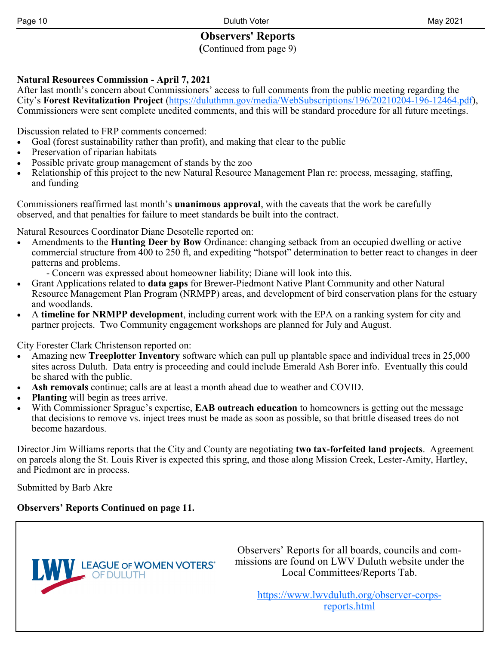# **Observers' Reports**

**(**Continued from page 9)

## **Natural Resources Commission - April 7, 2021**

After last month's concern about Commissioners' access to full comments from the public meeting regarding the City's **Forest Revitalization Project** [\(https://duluthmn.gov/media/WebSubscriptions/196/20210204](https://duluthmn.gov/media/WebSubscriptions/196/20210204-196-12464.pdf)-196-12464.pdf), Commissioners were sent complete unedited comments, and this will be standard procedure for all future meetings.

Discussion related to FRP comments concerned:

- Goal (forest sustainability rather than profit), and making that clear to the public
- Preservation of riparian habitats
- Possible private group management of stands by the zoo
- Relationship of this project to the new Natural Resource Management Plan re: process, messaging, staffing, and funding

Commissioners reaffirmed last month's **unanimous approval**, with the caveats that the work be carefully observed, and that penalties for failure to meet standards be built into the contract.

Natural Resources Coordinator Diane Desotelle reported on:

- Amendments to the **Hunting Deer by Bow** Ordinance: changing setback from an occupied dwelling or active commercial structure from 400 to 250 ft, and expediting "hotspot" determination to better react to changes in deer patterns and problems.
	- Concern was expressed about homeowner liability; Diane will look into this.
- Grant Applications related to **data gaps** for Brewer-Piedmont Native Plant Community and other Natural Resource Management Plan Program (NRMPP) areas, and development of bird conservation plans for the estuary and woodlands.
- A **timeline for NRMPP development**, including current work with the EPA on a ranking system for city and partner projects. Two Community engagement workshops are planned for July and August.

City Forester Clark Christenson reported on:

- Amazing new **Treeplotter Inventory** software which can pull up plantable space and individual trees in 25,000 sites across Duluth. Data entry is proceeding and could include Emerald Ash Borer info. Eventually this could be shared with the public.
- **Ash removals** continue; calls are at least a month ahead due to weather and COVID.
- **Planting** will begin as trees arrive.
- With Commissioner Sprague's expertise, **EAB outreach education** to homeowners is getting out the message that decisions to remove vs. inject trees must be made as soon as possible, so that brittle diseased trees do not become hazardous.

Director Jim Williams reports that the City and County are negotiating **two tax-forfeited land projects**. Agreement on parcels along the St. Louis River is expected this spring, and those along Mission Creek, Lester-Amity, Hartley, and Piedmont are in process.

Submitted by Barb Akre

## **Observers' Reports Continued on page 11.**



Observers' Reports for all boards, councils and commissions are found on LWV Duluth website under the Local Committees/Reports Tab.

> [https://www.lwvduluth.org/observer](https://www.lwvduluth.org/observer-corps-reports.html)-corps[reports.html](https://www.lwvduluth.org/observer-corps-reports.html)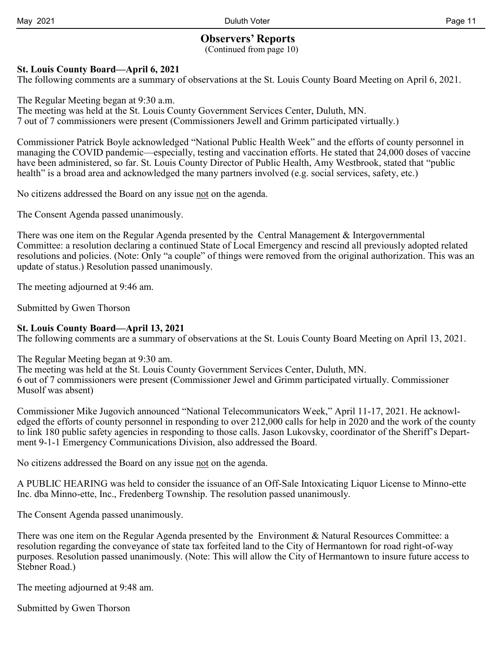## **Observers' Reports**

(Continued from page 10)

#### **St. Louis County Board—April 6, 2021**

The following comments are a summary of observations at the St. Louis County Board Meeting on April 6, 2021.

The Regular Meeting began at 9:30 a.m.

The meeting was held at the St. Louis County Government Services Center, Duluth, MN. 7 out of 7 commissioners were present (Commissioners Jewell and Grimm participated virtually.)

Commissioner Patrick Boyle acknowledged "National Public Health Week" and the efforts of county personnel in managing the COVID pandemic—especially, testing and vaccination efforts. He stated that 24,000 doses of vaccine have been administered, so far. St. Louis County Director of Public Health, Amy Westbrook, stated that "public health" is a broad area and acknowledged the many partners involved (e.g. social services, safety, etc.)

No citizens addressed the Board on any issue not on the agenda.

The Consent Agenda passed unanimously.

There was one item on the Regular Agenda presented by the Central Management & Intergovernmental Committee: a resolution declaring a continued State of Local Emergency and rescind all previously adopted related resolutions and policies. (Note: Only "a couple" of things were removed from the original authorization. This was an update of status.) Resolution passed unanimously.

The meeting adjourned at 9:46 am.

Submitted by Gwen Thorson

#### **St. Louis County Board—April 13, 2021**

The following comments are a summary of observations at the St. Louis County Board Meeting on April 13, 2021.

The Regular Meeting began at 9:30 am.

The meeting was held at the St. Louis County Government Services Center, Duluth, MN. 6 out of 7 commissioners were present (Commissioner Jewel and Grimm participated virtually. Commissioner Musolf was absent)

Commissioner Mike Jugovich announced "National Telecommunicators Week," April 11-17, 2021. He acknowledged the efforts of county personnel in responding to over 212,000 calls for help in 2020 and the work of the county to link 180 public safety agencies in responding to those calls. Jason Lukovsky, coordinator of the Sheriff's Department 9-1-1 Emergency Communications Division, also addressed the Board.

No citizens addressed the Board on any issue not on the agenda.

A PUBLIC HEARING was held to consider the issuance of an Off-Sale Intoxicating Liquor License to Minno-ette Inc. dba Minno-ette, Inc., Fredenberg Township. The resolution passed unanimously.

The Consent Agenda passed unanimously.

There was one item on the Regular Agenda presented by the Environment & Natural Resources Committee: a resolution regarding the conveyance of state tax forfeited land to the City of Hermantown for road right-of-way purposes. Resolution passed unanimously. (Note: This will allow the City of Hermantown to insure future access to Stebner Road.)

The meeting adjourned at 9:48 am.

Submitted by Gwen Thorson